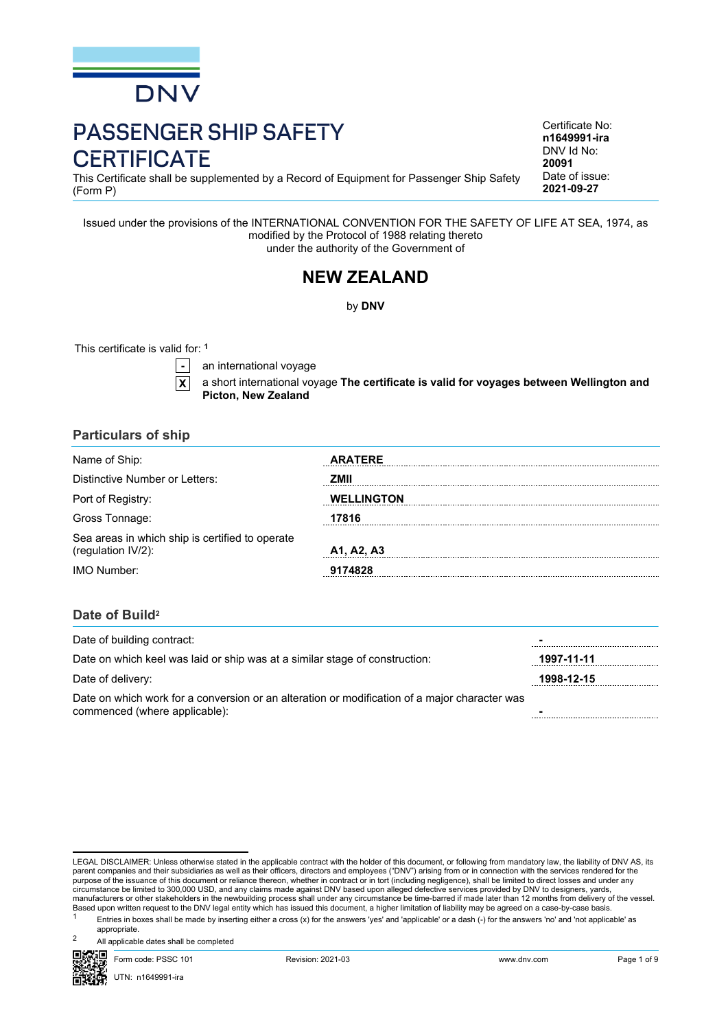

# PASSENGER SHIP SAFETY **CERTIFICATE**

This Certificate shall be supplemented by a Record of Equipment for Passenger Ship Safety (Form P)

Issued under the provisions of the INTERNATIONAL CONVENTION FOR THE SAFETY OF LIFE AT SEA, 1974, as modified by the Protocol of 1988 relating thereto under the authority of the Government of

## **NEW ZEALAND**

by **DNV**

This certificate is valid for: **<sup>1</sup>**

**-** an international voyage

**X** a short international voyage **The certificate is valid for voyages between Wellington and Picton, New Zealand**

## **Particulars of ship**

| Name of Ship:                                                         | <b>ARATERE</b>    |
|-----------------------------------------------------------------------|-------------------|
| Distinctive Number or Letters:                                        | 7MII              |
| Port of Registry:                                                     | <b>WELLINGTON</b> |
| Gross Tonnage:                                                        | 7816              |
| Sea areas in which ship is certified to operate<br>(regulation IV/2): | A1, A2, A3        |
| IMO Number:                                                           | 9174828           |

## **Date of Build<sup>2</sup>**

| Date of building contract:                                                                                                     |            |
|--------------------------------------------------------------------------------------------------------------------------------|------------|
| Date on which keel was laid or ship was at a similar stage of construction:                                                    | 1997-11-11 |
| Date of delivery:                                                                                                              | 1998-12-15 |
| Date on which work for a conversion or an alteration or modification of a major character was<br>commenced (where applicable): |            |

LEGAL DISCLAIMER: Unless otherwise stated in the applicable contract with the holder of this document, or following from mandatory law, the liability of DNV AS, its parent companies and their subsidiaries as well as their officers, directors and employees ("DNV") arising from or in connection with the services rendered for the<br>purpose of the issuance of this document or reliance there manufacturers or other stakeholders in the newbuilding process shall under any circumstance be time-barred if made later than 12 months from delivery of the vessel.<br>Based upon written request to the DNV legal entity which

<sup>1</sup> Entries in boxes shall be made by inserting either a cross (x) for the answers 'yes' and 'applicable' or a dash (-) for the answers 'no' and 'not applicable' as appropriate.

All applicable dates shall be completed



Certificate No: **n1649991-ira** DNV Id No: **20091** Date of issue: **2021-09-27**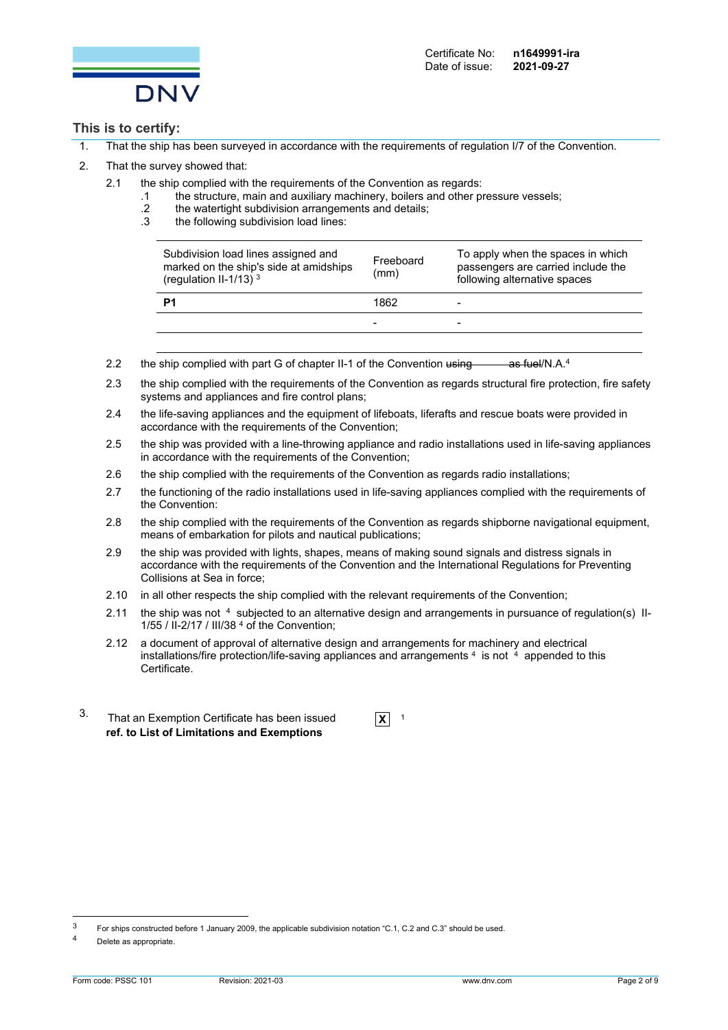

## **This is to certify:**

- 1. That the ship has been surveyed in accordance with the requirements of regulation I/7 of the Convention.
- 2. That the survey showed that:
	- 2.1 the ship complied with the requirements of the Convention as regards:
		- .1 the structure, main and auxiliary machinery, boilers and other pressure vessels;
		- .2 the watertight subdivision arrangements and details;
		- .3 the following subdivision load lines:

| P1                                                                                                        | 1862              | $\overline{\phantom{0}}$<br>$\overline{\phantom{0}}$                                                    |
|-----------------------------------------------------------------------------------------------------------|-------------------|---------------------------------------------------------------------------------------------------------|
| Subdivision load lines assigned and<br>marked on the ship's side at amidships<br>(regulation II-1/13) $3$ | Freeboard<br>(mm) | To apply when the spaces in which<br>passengers are carried include the<br>following alternative spaces |

- 2.2 the ship complied with part G of chapter II-1 of the Convention using as fuel/N.A.<sup>[4](#page-1-0)</sup>
- 2.3 the ship complied with the requirements of the Convention as regards structural fire protection, fire safety systems and appliances and fire control plans;
- 2.4 the life-saving appliances and the equipment of lifeboats, liferafts and rescue boats were provided in accordance with the requirements of the Convention;
- 2.5 the ship was provided with a line-throwing appliance and radio installations used in life-saving appliances in accordance with the requirements of the Convention;
- 2.6 the ship complied with the requirements of the Convention as regards radio installations;
- 2.7 the functioning of the radio installations used in life-saving appliances complied with the requirements of the Convention:
- 2.8 the ship complied with the requirements of the Convention as regards shipborne navigational equipment, means of embarkation for pilots and nautical publications;
- 2.9 the ship was provided with lights, shapes, means of making sound signals and distress signals in accordance with the requirements of the Convention and the International Regulations for Preventing Collisions at Sea in force;
- 2.10 in all other respects the ship complied with the relevant requirements of the Convention;
- <span id="page-1-0"></span>2.11 the ship was not 4 subjected to an alternative design and arrangements in pursuance of regulation(s) II-1/55 / II-2/17 / III/38 [4](#page-1-0) of the Convention;
- 2.12 a document of approval of alternative design and arrangements for machinery and electrical installations/fire protection/life-saving appliances and arrangements <sup>[4](#page-1-0)</sup> is not <sup>4</sup> appended to this Certificate.
- 3. That an Exemption Certificate has been issued **<sup>X</sup>** <sup>1</sup> **ref. to List of Limitations and Exemptions**

<sup>3</sup> For ships constructed before 1 January 2009, the applicable subdivision notation "C.1, C.2 and C.3" should be used.

<sup>4</sup> Delete as appropriate.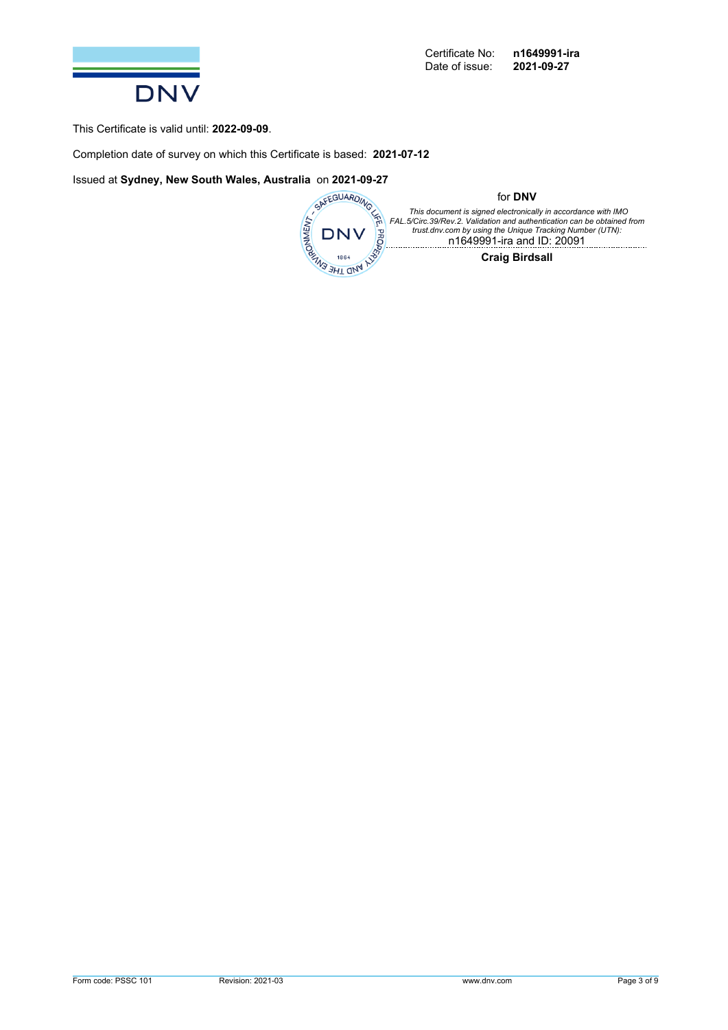

This Certificate is valid until: **2022-09-09**.

Completion date of survey on which this Certificate is based: **2021-07-12**



for **DNV**

This document is signed electronically in accordance with IMO<br>FAL.5/Circ.39/Rev.2. Validation and authentication can be obtained from<br>trust.dnv.com by using the Unique Tracking Number (UTN): n1649991-ira and ID: 20091

**Craig Birdsall**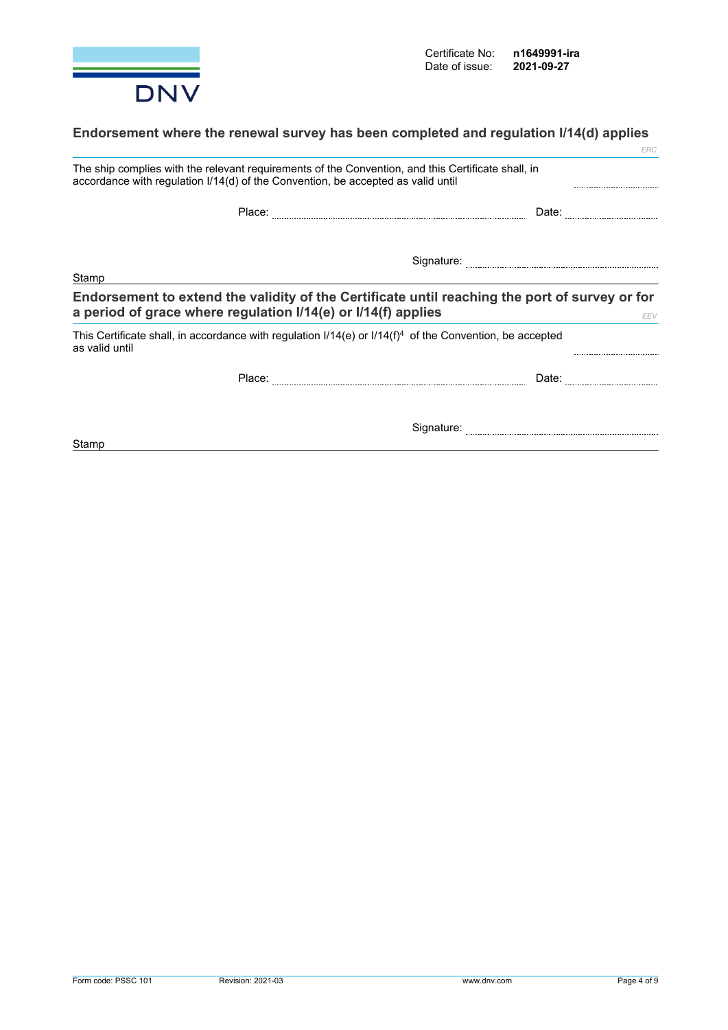

## **Endorsement where the renewal survey has been completed and regulation I/14(d) applies**

|                |                                                                                  | <b>ERC</b>                                                                                                    |
|----------------|----------------------------------------------------------------------------------|---------------------------------------------------------------------------------------------------------------|
|                | accordance with regulation I/14(d) of the Convention, be accepted as valid until | The ship complies with the relevant requirements of the Convention, and this Certificate shall, in            |
|                | Place:                                                                           | Date:                                                                                                         |
|                |                                                                                  |                                                                                                               |
| Stamp          |                                                                                  |                                                                                                               |
|                | a period of grace where regulation I/14(e) or I/14(f) applies                    | Endorsement to extend the validity of the Certificate until reaching the port of survey or for<br>EEV         |
| as valid until |                                                                                  | This Certificate shall, in accordance with regulation $1/14(e)$ or $1/14(f)^4$ of the Convention, be accepted |
|                | Place:                                                                           | Date:                                                                                                         |
|                |                                                                                  | Signature:                                                                                                    |

**Stamp**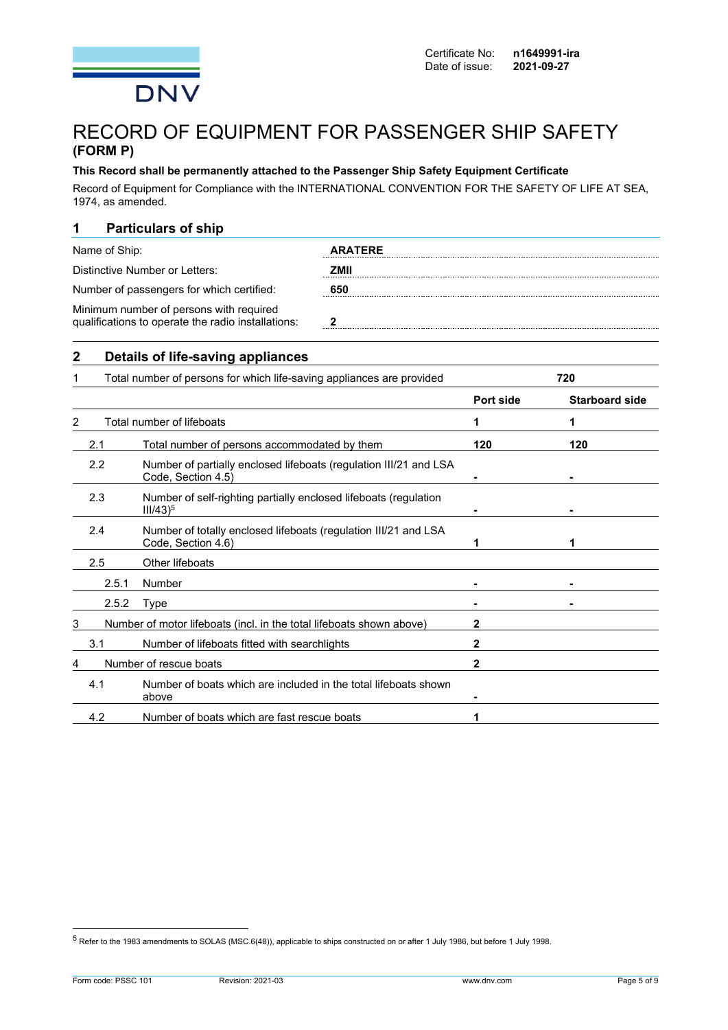

## RECORD OF EQUIPMENT FOR PASSENGER SHIP SAFETY **(FORM P)**

#### **This Record shall be permanently attached to the Passenger Ship Safety Equipment Certificate**

Record of Equipment for Compliance with the INTERNATIONAL CONVENTION FOR THE SAFETY OF LIFE AT SEA, 1974, as amended.

## **1 Particulars of ship**

| Name of Ship:                                                                                 | <b>ARATERE</b> |
|-----------------------------------------------------------------------------------------------|----------------|
| Distinctive Number or Letters:                                                                | 7MII           |
| Number of passengers for which certified:                                                     | 650            |
| Minimum number of persons with required<br>qualifications to operate the radio installations: |                |

### **2 Details of life-saving appliances**

|                | Total number of persons for which life-saving appliances are provided |                                                                                         | 720       |                       |
|----------------|-----------------------------------------------------------------------|-----------------------------------------------------------------------------------------|-----------|-----------------------|
|                |                                                                       |                                                                                         | Port side | <b>Starboard side</b> |
| $\overline{2}$ |                                                                       | Total number of lifeboats                                                               | 1         | 1                     |
|                | 2.1                                                                   | Total number of persons accommodated by them                                            | 120       | 120                   |
|                | 2.2                                                                   | Number of partially enclosed lifeboats (regulation III/21 and LSA<br>Code, Section 4.5) |           |                       |
|                | 2.3                                                                   | Number of self-righting partially enclosed lifeboats (regulation<br>$III/43)^5$         |           |                       |
|                | 2.4                                                                   | Number of totally enclosed lifeboats (regulation III/21 and LSA<br>Code, Section 4.6)   |           | 1                     |
|                | 2.5                                                                   | Other lifeboats                                                                         |           |                       |
|                | 2.5.1                                                                 | Number                                                                                  |           |                       |
|                | 2.5.2                                                                 | Type                                                                                    |           |                       |
| 3              |                                                                       | Number of motor lifeboats (incl. in the total lifeboats shown above)                    | 2         |                       |
|                | 3.1                                                                   | Number of lifeboats fitted with searchlights                                            | 2         |                       |
| 4              |                                                                       | Number of rescue boats                                                                  | 2         |                       |
|                | 4.1                                                                   | Number of boats which are included in the total lifeboats shown<br>above                |           |                       |
|                | 4.2                                                                   | Number of boats which are fast rescue boats                                             |           |                       |

<sup>5</sup> Refer to the 1983 amendments to SOLAS (MSC.6(48)), applicable to ships constructed on or after 1 July 1986, but before 1 July 1998.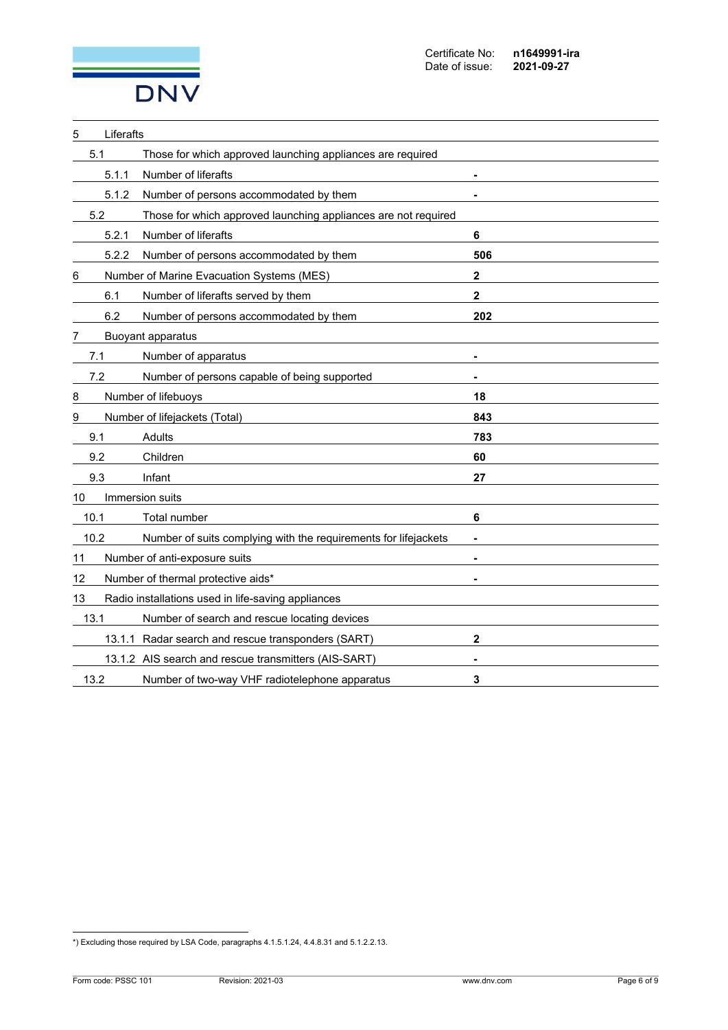

| 5     | Liferafts                                                       |                          |
|-------|-----------------------------------------------------------------|--------------------------|
| 5.1   | Those for which approved launching appliances are required      |                          |
| 5.1.1 | Number of liferafts                                             |                          |
| 5.1.2 | Number of persons accommodated by them                          |                          |
| 5.2   | Those for which approved launching appliances are not required  |                          |
| 5.2.1 | Number of liferafts                                             | 6                        |
| 5.2.2 | Number of persons accommodated by them                          | 506                      |
| 6     | Number of Marine Evacuation Systems (MES)                       | $\mathbf{2}$             |
| 6.1   | Number of liferafts served by them                              | $\mathbf 2$              |
| 6.2   | Number of persons accommodated by them                          | 202                      |
|       | <b>Buoyant apparatus</b>                                        |                          |
| 7.1   | Number of apparatus                                             |                          |
| 7.2   | Number of persons capable of being supported                    | $\blacksquare$           |
| 8     | Number of lifebuoys                                             | 18                       |
| 9     | Number of lifejackets (Total)                                   | 843                      |
| 9.1   | Adults                                                          | 783                      |
| 9.2   | Children                                                        | 60                       |
| 9.3   | Infant                                                          | 27                       |
| 10    | Immersion suits                                                 |                          |
| 10.1  | Total number                                                    | 6                        |
| 10.2  | Number of suits complying with the requirements for lifejackets | $\overline{\phantom{a}}$ |
| 11    | Number of anti-exposure suits                                   | $\blacksquare$           |
| 12    | Number of thermal protective aids*                              |                          |
| 13    | Radio installations used in life-saving appliances              |                          |
| 13.1  | Number of search and rescue locating devices                    |                          |
|       | 13.1.1 Radar search and rescue transponders (SART)              | $\mathbf{2}$             |
|       | 13.1.2 AIS search and rescue transmitters (AIS-SART)            |                          |
| 13.2  | Number of two-way VHF radiotelephone apparatus                  | 3                        |

<sup>\*)</sup> Excluding those required by LSA Code, paragraphs 4.1.5.1.24, 4.4.8.31 and 5.1.2.2.13.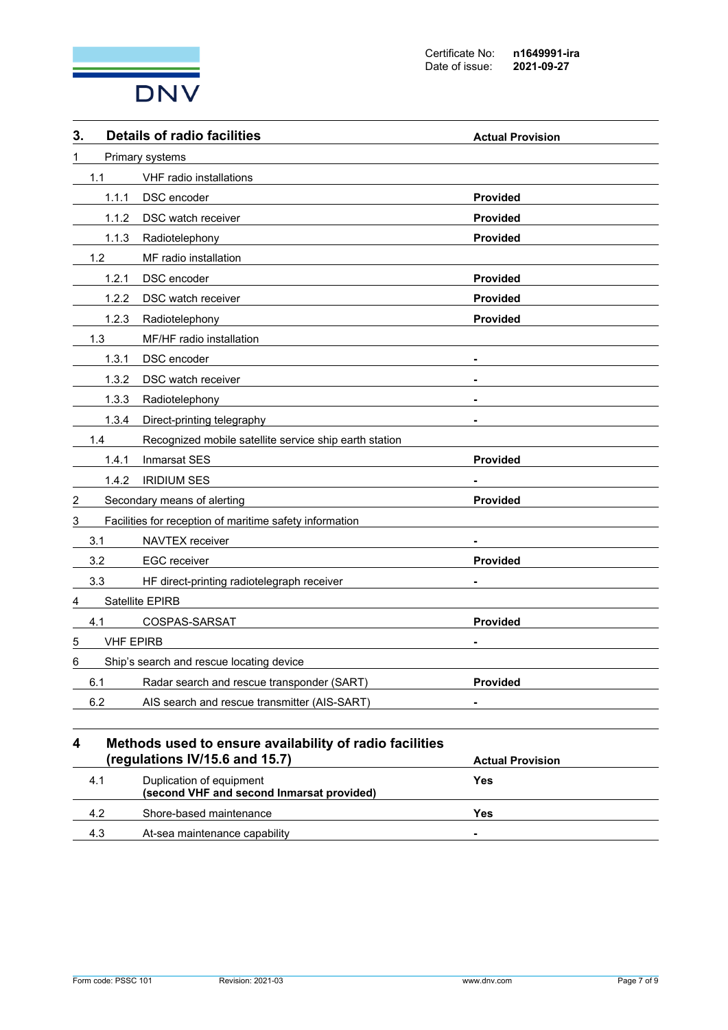

| 3. |                                          | <b>Details of radio facilities</b>                                                        | <b>Actual Provision</b> |
|----|------------------------------------------|-------------------------------------------------------------------------------------------|-------------------------|
| 1  | Primary systems                          |                                                                                           |                         |
|    | 1.1                                      | VHF radio installations                                                                   |                         |
|    | 1.1.1                                    | DSC encoder                                                                               | <b>Provided</b>         |
|    | 1.1.2                                    | DSC watch receiver                                                                        | <b>Provided</b>         |
|    | 1.1.3                                    | Radiotelephony                                                                            | <b>Provided</b>         |
|    | 1.2                                      | MF radio installation                                                                     |                         |
|    | 1.2.1                                    | DSC encoder                                                                               | <b>Provided</b>         |
|    | 1.2.2                                    | DSC watch receiver                                                                        | <b>Provided</b>         |
|    | 1.2.3                                    | Radiotelephony                                                                            | <b>Provided</b>         |
|    | 1.3                                      | MF/HF radio installation                                                                  |                         |
|    | 1.3.1                                    | DSC encoder                                                                               | ۰                       |
|    | 1.3.2                                    | DSC watch receiver                                                                        |                         |
|    | 1.3.3                                    | Radiotelephony                                                                            | $\blacksquare$          |
|    | 1.3.4                                    | Direct-printing telegraphy                                                                |                         |
|    | 1.4                                      | Recognized mobile satellite service ship earth station                                    |                         |
|    | 1.4.1                                    | <b>Inmarsat SES</b>                                                                       | <b>Provided</b>         |
|    | 1.4.2                                    | <b>IRIDIUM SES</b>                                                                        |                         |
| 2  |                                          | Secondary means of alerting                                                               | Provided                |
| 3  |                                          | Facilities for reception of maritime safety information                                   |                         |
|    | 3.1                                      | <b>NAVTEX</b> receiver                                                                    |                         |
|    | 3.2                                      | <b>EGC</b> receiver                                                                       | <b>Provided</b>         |
|    | 3.3                                      | HF direct-printing radiotelegraph receiver                                                |                         |
| 4  |                                          | Satellite EPIRB                                                                           |                         |
|    | 4.1                                      | COSPAS-SARSAT                                                                             | Provided                |
| 5  | <b>VHF EPIRB</b>                         |                                                                                           |                         |
| 6  | Ship's search and rescue locating device |                                                                                           |                         |
|    | 6.1                                      | Radar search and rescue transponder (SART)                                                | <b>Provided</b>         |
|    | 6.2                                      | AIS search and rescue transmitter (AIS-SART)                                              |                         |
| 4  |                                          | Methods used to ensure availability of radio facilities<br>(regulations IV/15.6 and 15.7) | <b>Actual Provision</b> |
|    | 4.1                                      | Duplication of equipment<br>(second VHF and second Inmarsat provided)                     | Yes                     |

4.2 Shore-based maintenance **Yes** 4.3 At-sea maintenance capability **-**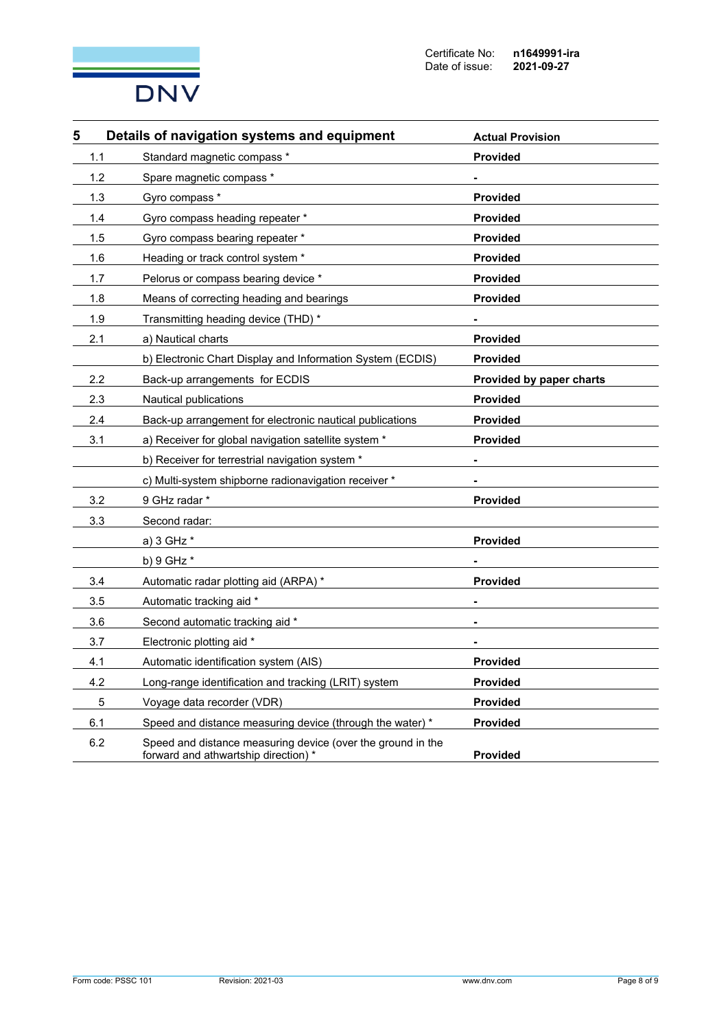

| 5   | Details of navigation systems and equipment                                                         | <b>Actual Provision</b>  |
|-----|-----------------------------------------------------------------------------------------------------|--------------------------|
| 1.1 | Standard magnetic compass *                                                                         | <b>Provided</b>          |
| 1.2 | Spare magnetic compass *                                                                            |                          |
| 1.3 | Gyro compass *                                                                                      | <b>Provided</b>          |
| 1.4 | Gyro compass heading repeater *                                                                     | <b>Provided</b>          |
| 1.5 | Gyro compass bearing repeater *                                                                     | <b>Provided</b>          |
| 1.6 | Heading or track control system *                                                                   | <b>Provided</b>          |
| 1.7 | Pelorus or compass bearing device *                                                                 | <b>Provided</b>          |
| 1.8 | Means of correcting heading and bearings                                                            | <b>Provided</b>          |
| 1.9 | Transmitting heading device (THD) *                                                                 |                          |
| 2.1 | a) Nautical charts                                                                                  | <b>Provided</b>          |
|     | b) Electronic Chart Display and Information System (ECDIS)                                          | <b>Provided</b>          |
| 2.2 | Back-up arrangements for ECDIS                                                                      | Provided by paper charts |
| 2.3 | Nautical publications                                                                               | <b>Provided</b>          |
| 2.4 | Back-up arrangement for electronic nautical publications                                            | <b>Provided</b>          |
| 3.1 | a) Receiver for global navigation satellite system *                                                | <b>Provided</b>          |
|     | b) Receiver for terrestrial navigation system *                                                     |                          |
|     | c) Multi-system shipborne radionavigation receiver *                                                |                          |
| 3.2 | 9 GHz radar *                                                                                       | <b>Provided</b>          |
| 3.3 | Second radar:                                                                                       |                          |
|     | a) 3 GHz *                                                                                          | <b>Provided</b>          |
|     | b) $9$ GHz $*$                                                                                      |                          |
| 3.4 | Automatic radar plotting aid (ARPA) *                                                               | <b>Provided</b>          |
| 3.5 | Automatic tracking aid *                                                                            |                          |
| 3.6 | Second automatic tracking aid *                                                                     |                          |
| 3.7 | Electronic plotting aid *                                                                           |                          |
| 4.1 | Automatic identification system (AIS)                                                               | <b>Provided</b>          |
| 4.2 | Long-range identification and tracking (LRIT) system                                                | <b>Provided</b>          |
| 5   | Voyage data recorder (VDR)                                                                          | <b>Provided</b>          |
| 6.1 | Speed and distance measuring device (through the water) *                                           | <b>Provided</b>          |
| 6.2 | Speed and distance measuring device (over the ground in the<br>forward and athwartship direction) * | <b>Provided</b>          |